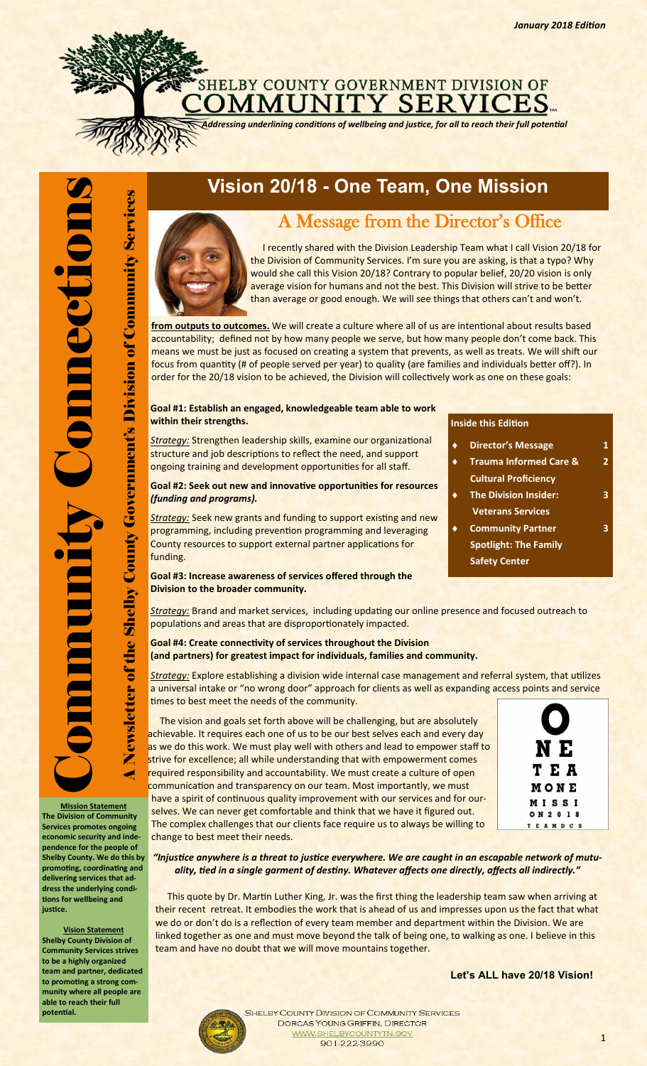# SHELBY COUNTY GOVERNMENT DIVISION OF COUNTY GOVERNMENT DIVISION OF

*Addressing underlining conditions of wellbeing and justice, for all to reach their full potential*

**pendence for the people of Shelby County. We do this by promoting, coordinating and delivering services that address the underlying conditions for wellbeing and** 

**Vision Statement Shelby County Division of Community Services strives to be a highly organized team and partner, dedicated to promoting a strong com-**

**justice.**

**potential.**

### **Vision 20/18 - One Team, One Mission**



### A Message from the Director's Office

 I recently shared with the Division Leadership Team what I call Vision 20/18 for the Division of Community Services. I'm sure you are asking, is that a typo? Why would she call this Vision 20/18? Contrary to popular belief, 20/20 vision is only average vision for humans and not the best. This Division will strive to be better than average or good enough. We will see things that others can't and won't.

**from outputs to outcomes.** We will create a culture where all of us are intentional about results based accountability; defined not by how many people we serve, but how many people don't come back. This means we must be just as focused on creating a system that prevents, as well as treats. We will shift our focus from quantity (# of people served per year) to quality (are families and individuals better off?). In order for the 20/18 vision to be achieved, the Division will collectively work as one on these goals:

#### **Goal #1: Establish an engaged, knowledgeable team able to work within their strengths.**

*Strategy:* Strengthen leadership skills, examine our organizational structure and job descriptions to reflect the need, and support ongoing training and development opportunities for all staff.

#### **Goal #2: Seek out new and innovative opportunities for resources**  *(funding and programs).*

*Strategy:* Seek new grants and funding to support existing and new programming, including prevention programming and leveraging County resources to support external partner applications for funding.

**Goal #3: Increase awareness of services offered through the** 

**Division to the broader community.**

#### **Inside this Edition**

- **Director's Message 1 Trauma Informed Care & 2**
- **Cultural Proficiency**
- **The Division Insider: 3 Veterans Services**
- **Community Partner 3 Spotlight: The Family Safety Center**

*Strategy:* Brand and market services, including updating our online presence and focused outreach to populations and areas that are disproportionately impacted.

#### **Goal #4: Create connectivity of services throughout the Division (and partners) for greatest impact for individuals, families and community.**

*Strategy:* Explore establishing a division wide internal case management and referral system, that utilizes a universal intake or "no wrong door" approach for clients as well as expanding access points and service times to best meet the needs of the community.

The vision and goals set forth above will be challenging, but are absolutely achievable. It requires each one of us to be our best selves each and every day as we do this work. We must play well with others and lead to empower staff to strive for excellence; all while understanding that with empowerment comes required responsibility and accountability. We must create a culture of open communication and transparency on our team. Most importantly, we must have a spirit of continuous quality improvement with our services and for ourselves. We can never get comfortable and think that we have it figured out. The complex challenges that our clients face require us to always be willing to change to best meet their needs. **Services promotes ongoing economic security and inde-**



*"Injustice anywhere is a threat to justice everywhere. We are caught in an escapable network of mutuality, tied in a single garment of destiny. Whatever affects one directly, affects all indirectly."*

 This quote by Dr. Martin Luther King, Jr. was the first thing the leadership team saw when arriving at their recent retreat. It embodies the work that is ahead of us and impresses upon us the fact that what we do or don't do is a reflection of every team member and department within the Division. We are linked together as one and must move beyond the talk of being one, to walking as one. I believe in this team and have no doubt that we will move mountains together.

**Let's ALL have 20/18 Vision!**

**munity where all people are able to reach their full** 

SHELBY COUNTY DIVISION OF COMMUNITY SERVICES DORCAS YOUNG GRIFFIN, DIRECTOR **WWW.SHEL** N.GOV 901-222-3990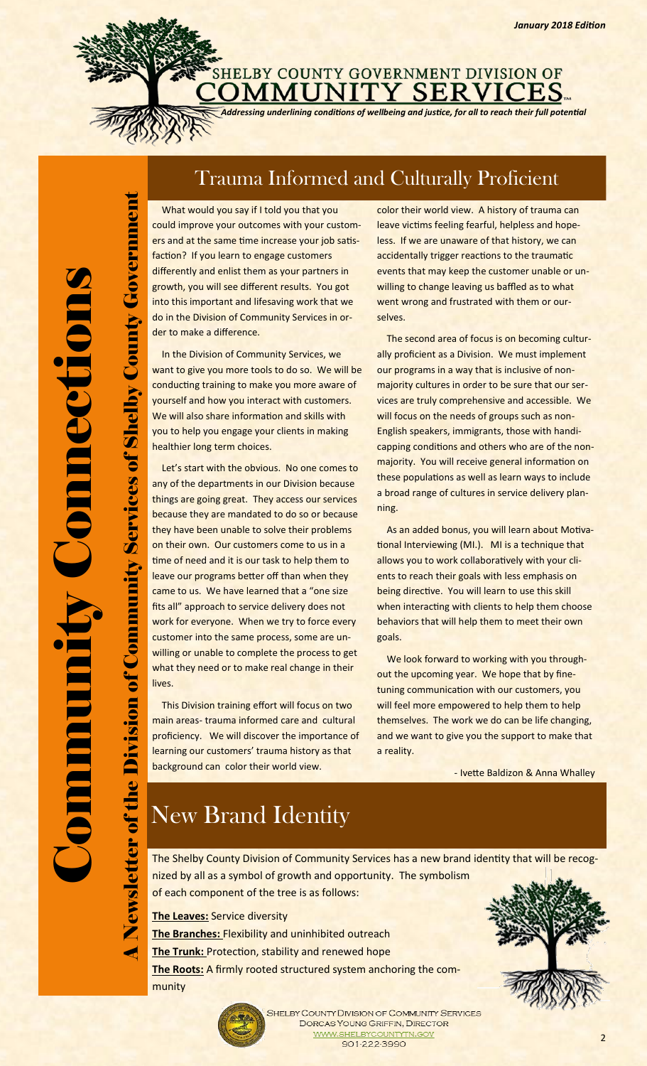SHELBY COUNTY GOVERNMENT DIVISION OF **OMMUNITY SERVICES** 

*Addressing underlining conditions of wellbeing and justice, for all to reach their full potential*

### Trauma Informed and Culturally Proficient

A Newsletter of the Division of Community Services of Shelby County Government

**Aumuno** 

ewsletter of the Division of

Services of Shelby

Government

Aumo

What would you say if I told you that you could improve your outcomes with your customers and at the same time increase your job satisfaction? If you learn to engage customers differently and enlist them as your partners in growth, you will see different results. You got into this important and lifesaving work that we do in the Division of Community Services in order to make a difference.

 In the Division of Community Services, we want to give you more tools to do so. We will be conducting training to make you more aware of yourself and how you interact with customers. We will also share information and skills with you to help you engage your clients in making healthier long term choices.

 Let's start with the obvious. No one comes to any of the departments in our Division because things are going great. They access our services because they are mandated to do so or because they have been unable to solve their problems on their own. Our customers come to us in a time of need and it is our task to help them to leave our programs better off than when they came to us. We have learned that a "one size fits all" approach to service delivery does not work for everyone. When we try to force every customer into the same process, some are unwilling or unable to complete the process to get what they need or to make real change in their lives.

 This Division training effort will focus on two main areas- trauma informed care and cultural proficiency. We will discover the importance of learning our customers' trauma history as that background can color their world view.

color their world view. A history of trauma can leave victims feeling fearful, helpless and hopeless. If we are unaware of that history, we can accidentally trigger reactions to the traumatic events that may keep the customer unable or unwilling to change leaving us baffled as to what went wrong and frustrated with them or ourselves.

 The second area of focus is on becoming culturally proficient as a Division. We must implement our programs in a way that is inclusive of nonmajority cultures in order to be sure that our services are truly comprehensive and accessible. We will focus on the needs of groups such as non-English speakers, immigrants, those with handicapping conditions and others who are of the nonmajority. You will receive general information on these populations as well as learn ways to include a broad range of cultures in service delivery planning.

 As an added bonus, you will learn about Motivational Interviewing (MI.). MI is a technique that allows you to work collaboratively with your clients to reach their goals with less emphasis on being directive. You will learn to use this skill when interacting with clients to help them choose behaviors that will help them to meet their own goals.

We look forward to working with you throughout the upcoming year. We hope that by finetuning communication with our customers, you will feel more empowered to help them to help themselves. The work we do can be life changing, and we want to give you the support to make that a reality.

- Ivette Baldizon & Anna Whalley

# New Brand Identity

The Shelby County Division of Community Services has a new brand identity that will be recognized by all as a symbol of growth and opportunity. The symbolism of each component of the tree is as follows:

**The Leaves:** Service diversity

**The Branches:** Flexibility and uninhibited outreach

**The Trunk:** Protection, stability and renewed hope

**The Roots:** A firmly rooted structured system anchoring the community